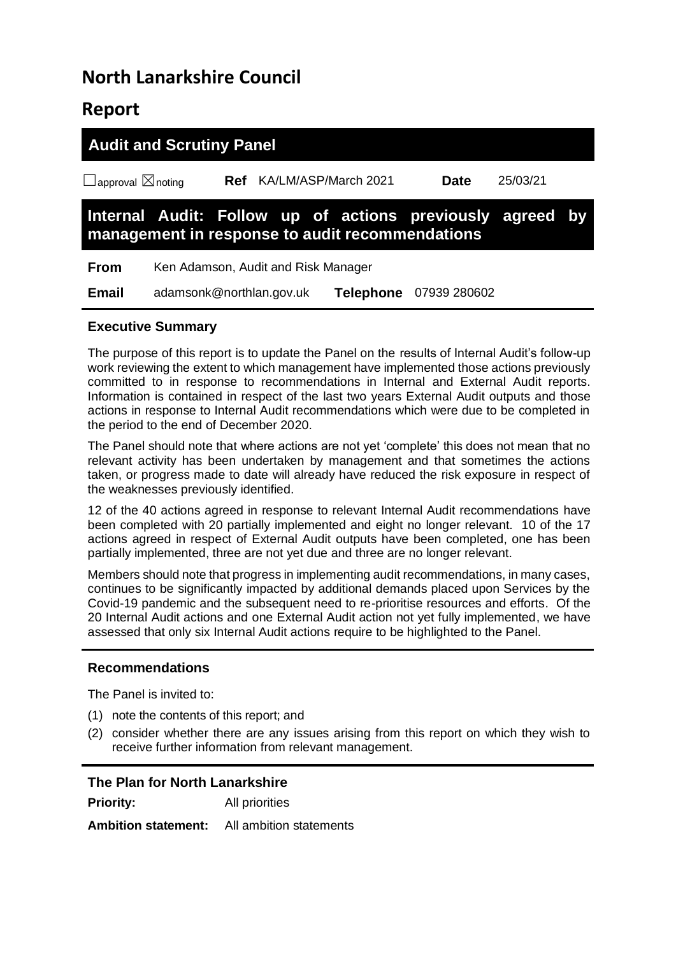# **North Lanarkshire Council**

## **Report**

| <b>Audit and Scrutiny Panel</b>                                                                              |                                     |     |                      |  |                  |              |          |  |
|--------------------------------------------------------------------------------------------------------------|-------------------------------------|-----|----------------------|--|------------------|--------------|----------|--|
| $\Box$ approval $\boxtimes$ noting                                                                           |                                     | Ref | KA/LM/ASP/March 2021 |  |                  | <b>Date</b>  | 25/03/21 |  |
| Internal Audit: Follow up of actions previously agreed by<br>management in response to audit recommendations |                                     |     |                      |  |                  |              |          |  |
| <b>From</b>                                                                                                  | Ken Adamson, Audit and Risk Manager |     |                      |  |                  |              |          |  |
| <b>Email</b>                                                                                                 | adamsonk@northlan.gov.uk            |     |                      |  | <b>Telephone</b> | 07939 280602 |          |  |

#### **Executive Summary**

The purpose of this report is to update the Panel on the results of Internal Audit's follow-up work reviewing the extent to which management have implemented those actions previously committed to in response to recommendations in Internal and External Audit reports. Information is contained in respect of the last two years External Audit outputs and those actions in response to Internal Audit recommendations which were due to be completed in the period to the end of December 2020.

The Panel should note that where actions are not yet 'complete' this does not mean that no relevant activity has been undertaken by management and that sometimes the actions taken, or progress made to date will already have reduced the risk exposure in respect of the weaknesses previously identified.

12 of the 40 actions agreed in response to relevant Internal Audit recommendations have been completed with 20 partially implemented and eight no longer relevant. 10 of the 17 actions agreed in respect of External Audit outputs have been completed, one has been partially implemented, three are not yet due and three are no longer relevant.

Members should note that progress in implementing audit recommendations, in many cases, continues to be significantly impacted by additional demands placed upon Services by the Covid-19 pandemic and the subsequent need to re-prioritise resources and efforts. Of the 20 Internal Audit actions and one External Audit action not yet fully implemented, we have assessed that only six Internal Audit actions require to be highlighted to the Panel.

#### **Recommendations**

The Panel is invited to:

- (1) note the contents of this report; and
- (2) consider whether there are any issues arising from this report on which they wish to receive further information from relevant management.

| The Plan for North Lanarkshire |                                                    |  |  |  |
|--------------------------------|----------------------------------------------------|--|--|--|
| <b>Priority:</b>               | All priorities                                     |  |  |  |
|                                | <b>Ambition statement:</b> All ambition statements |  |  |  |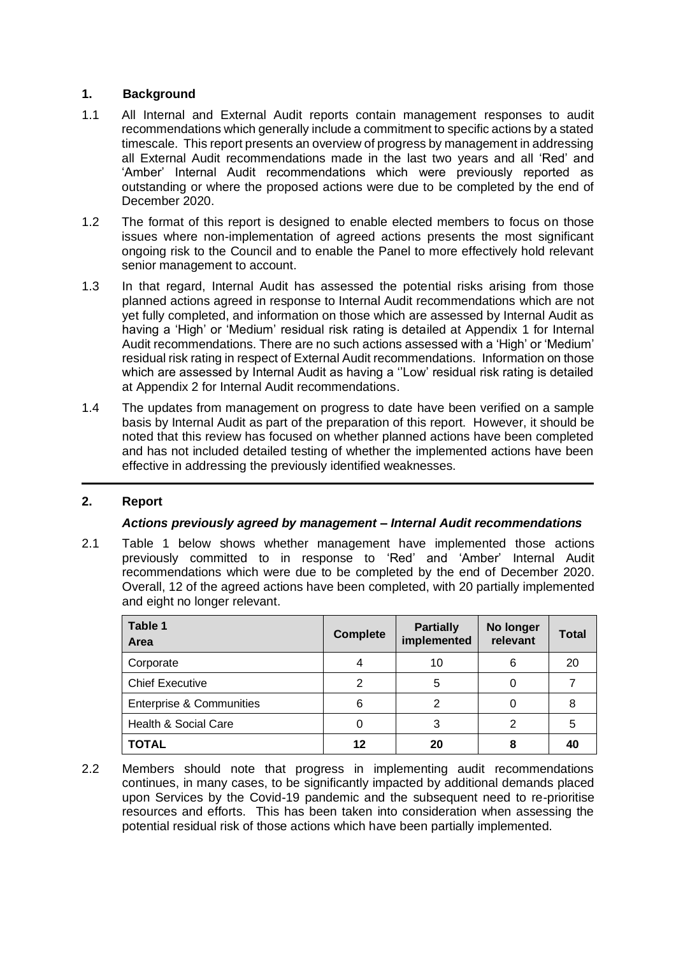#### **1. Background**

- 1.1 All Internal and External Audit reports contain management responses to audit recommendations which generally include a commitment to specific actions by a stated timescale. This report presents an overview of progress by management in addressing all External Audit recommendations made in the last two years and all 'Red' and 'Amber' Internal Audit recommendations which were previously reported as outstanding or where the proposed actions were due to be completed by the end of December 2020.
- 1.2 The format of this report is designed to enable elected members to focus on those issues where non-implementation of agreed actions presents the most significant ongoing risk to the Council and to enable the Panel to more effectively hold relevant senior management to account.
- 1.3 In that regard, Internal Audit has assessed the potential risks arising from those planned actions agreed in response to Internal Audit recommendations which are not yet fully completed, and information on those which are assessed by Internal Audit as having a 'High' or 'Medium' residual risk rating is detailed at Appendix 1 for Internal Audit recommendations. There are no such actions assessed with a 'High' or 'Medium' residual risk rating in respect of External Audit recommendations. Information on those which are assessed by Internal Audit as having a "Low' residual risk rating is detailed at Appendix 2 for Internal Audit recommendations.
- 1.4 The updates from management on progress to date have been verified on a sample basis by Internal Audit as part of the preparation of this report. However, it should be noted that this review has focused on whether planned actions have been completed and has not included detailed testing of whether the implemented actions have been effective in addressing the previously identified weaknesses.

#### **2. Report**

#### *Actions previously agreed by management – Internal Audit recommendations*

2.1 Table 1 below shows whether management have implemented those actions previously committed to in response to 'Red' and 'Amber' Internal Audit recommendations which were due to be completed by the end of December 2020. Overall, 12 of the agreed actions have been completed, with 20 partially implemented and eight no longer relevant.

| Table 1<br>Area                     | <b>Complete</b> | <b>Partially</b><br>implemented | No longer<br>relevant | <b>Total</b> |
|-------------------------------------|-----------------|---------------------------------|-----------------------|--------------|
| Corporate                           |                 | 10                              | 6                     | -20          |
| <b>Chief Executive</b>              | 2               | 5                               |                       |              |
| <b>Enterprise &amp; Communities</b> | 6               | 2                               |                       | 8            |
| Health & Social Care                | 0               | 3                               | 2                     | 5            |
| <b>TOTAL</b>                        | 12              | 20                              | 8                     | 40           |

2.2 Members should note that progress in implementing audit recommendations continues, in many cases, to be significantly impacted by additional demands placed upon Services by the Covid-19 pandemic and the subsequent need to re-prioritise resources and efforts. This has been taken into consideration when assessing the potential residual risk of those actions which have been partially implemented.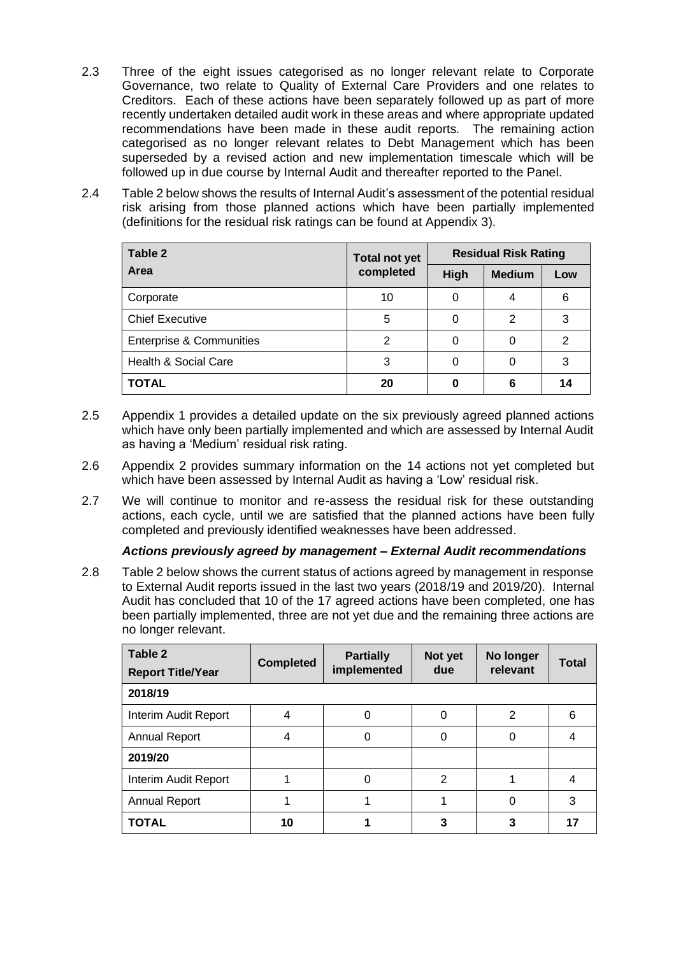- 2.3 Three of the eight issues categorised as no longer relevant relate to Corporate Governance, two relate to Quality of External Care Providers and one relates to Creditors. Each of these actions have been separately followed up as part of more recently undertaken detailed audit work in these areas and where appropriate updated recommendations have been made in these audit reports. The remaining action categorised as no longer relevant relates to Debt Management which has been superseded by a revised action and new implementation timescale which will be followed up in due course by Internal Audit and thereafter reported to the Panel.
- 2.4 Table 2 below shows the results of Internal Audit's assessment of the potential residual risk arising from those planned actions which have been partially implemented (definitions for the residual risk ratings can be found at Appendix 3).

| Table 2                             | <b>Total not yet</b> |      | <b>Residual Risk Rating</b> |     |
|-------------------------------------|----------------------|------|-----------------------------|-----|
| Area                                | completed            | High | <b>Medium</b>               | Low |
| Corporate                           | 10                   | 0    | 4                           | 6   |
| <b>Chief Executive</b>              | 5                    |      | 2                           | 3   |
| <b>Enterprise &amp; Communities</b> | 2                    | 0    | 0                           | 2   |
| Health & Social Care                | 3                    | 0    | 0                           | 3   |
| <b>TOTAL</b>                        | 20                   | 0    | 6                           | 14  |

- 2.5 Appendix 1 provides a detailed update on the six previously agreed planned actions which have only been partially implemented and which are assessed by Internal Audit as having a 'Medium' residual risk rating.
- 2.6 Appendix 2 provides summary information on the 14 actions not yet completed but which have been assessed by Internal Audit as having a 'Low' residual risk.
- 2.7 We will continue to monitor and re-assess the residual risk for these outstanding actions, each cycle, until we are satisfied that the planned actions have been fully completed and previously identified weaknesses have been addressed.

#### *Actions previously agreed by management – External Audit recommendations*

2.8 Table 2 below shows the current status of actions agreed by management in response to External Audit reports issued in the last two years (2018/19 and 2019/20). Internal Audit has concluded that 10 of the 17 agreed actions have been completed, one has been partially implemented, three are not yet due and the remaining three actions are no longer relevant.

| Table 2<br><b>Report Title/Year</b> | <b>Completed</b> | <b>Partially</b><br>implemented | Not yet<br>due | No longer<br>relevant | <b>Total</b> |
|-------------------------------------|------------------|---------------------------------|----------------|-----------------------|--------------|
| 2018/19                             |                  |                                 |                |                       |              |
| Interim Audit Report                | 4                |                                 | 0              | 2                     | 6            |
| <b>Annual Report</b>                | 4                | 0                               | 0              | 0                     |              |
| 2019/20                             |                  |                                 |                |                       |              |
| Interim Audit Report                |                  | 0                               | 2              |                       |              |
| <b>Annual Report</b>                |                  |                                 |                | $\Omega$              | 3            |
| <b>TOTAL</b>                        | 10               |                                 | 3              |                       | 17           |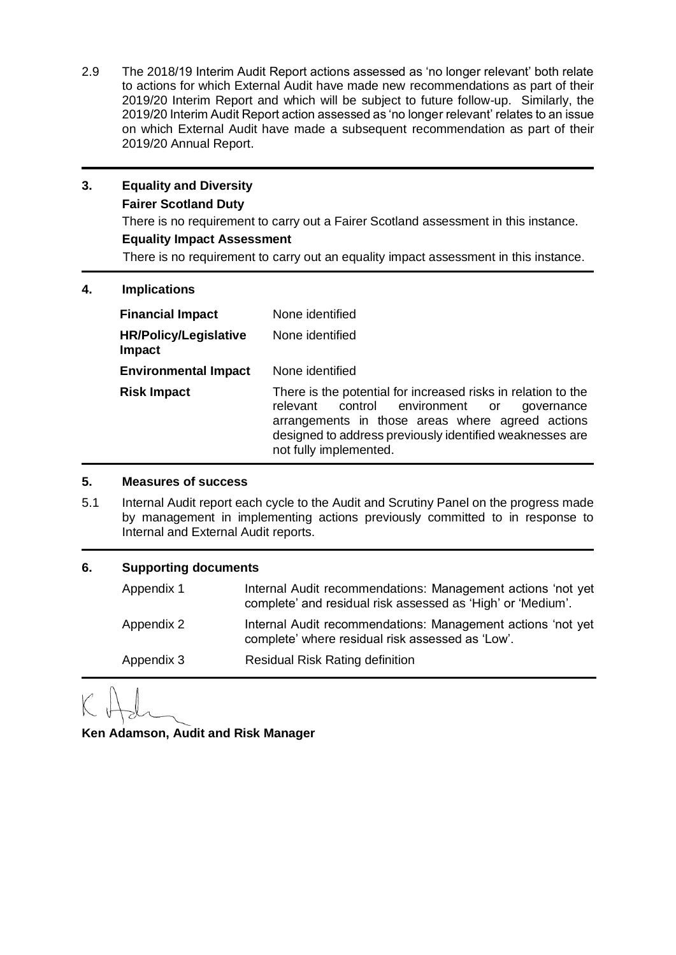2.9 The 2018/19 Interim Audit Report actions assessed as 'no longer relevant' both relate to actions for which External Audit have made new recommendations as part of their 2019/20 Interim Report and which will be subject to future follow-up. Similarly, the 2019/20 Interim Audit Report action assessed as 'no longer relevant' relates to an issue on which External Audit have made a subsequent recommendation as part of their 2019/20 Annual Report.

### **3. Equality and Diversity Fairer Scotland Duty**

There is no requirement to carry out a Fairer Scotland assessment in this instance.

#### **Equality Impact Assessment**

There is no requirement to carry out an equality impact assessment in this instance.

#### **4. Implications**

| <b>Financial Impact</b>                | None identified                                                                                                                                                                                                                                             |
|----------------------------------------|-------------------------------------------------------------------------------------------------------------------------------------------------------------------------------------------------------------------------------------------------------------|
| <b>HR/Policy/Legislative</b><br>Impact | None identified                                                                                                                                                                                                                                             |
| <b>Environmental Impact</b>            | None identified                                                                                                                                                                                                                                             |
| <b>Risk Impact</b>                     | There is the potential for increased risks in relation to the<br>control environment or<br>relevant<br>governance<br>arrangements in those areas where agreed actions<br>designed to address previously identified weaknesses are<br>not fully implemented. |

#### **5. Measures of success**

5.1 Internal Audit report each cycle to the Audit and Scrutiny Panel on the progress made by management in implementing actions previously committed to in response to Internal and External Audit reports.

| 6. |            | <b>Supporting documents</b>                                                                                                |  |  |  |  |
|----|------------|----------------------------------------------------------------------------------------------------------------------------|--|--|--|--|
|    | Appendix 1 | Internal Audit recommendations: Management actions 'not yet<br>complete' and residual risk assessed as 'High' or 'Medium'. |  |  |  |  |
|    | Appendix 2 | Internal Audit recommendations: Management actions 'not yet<br>complete' where residual risk assessed as 'Low'.            |  |  |  |  |
|    | Appendix 3 | <b>Residual Risk Rating definition</b>                                                                                     |  |  |  |  |

**Ken Adamson, Audit and Risk Manager**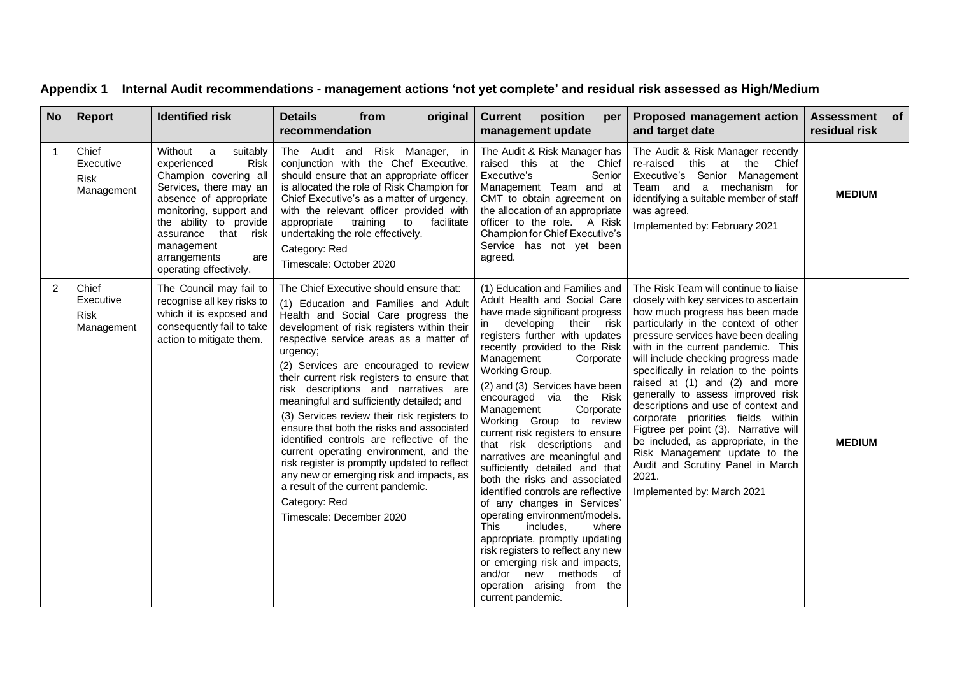| <b>No</b>      | <b>Report</b>                                   | <b>Identified risk</b>                                                                                                                                                                                                                                               | <b>Details</b><br>from<br>original<br>recommendation                                                                                                                                                                                                                                                                                                                                                                                                                                                                                                                                                                                                                                                                                                                      | position<br><b>Current</b><br>per<br>management update                                                                                                                                                                                                                                                                                                                                                                                                                                                                                                                                                                                                                                                                                                                                                                                                                 | Proposed management action<br>and target date                                                                                                                                                                                                                                                                                                                                                                                                                                                                                                                                                                                                                             | Assessment of<br>residual risk |
|----------------|-------------------------------------------------|----------------------------------------------------------------------------------------------------------------------------------------------------------------------------------------------------------------------------------------------------------------------|---------------------------------------------------------------------------------------------------------------------------------------------------------------------------------------------------------------------------------------------------------------------------------------------------------------------------------------------------------------------------------------------------------------------------------------------------------------------------------------------------------------------------------------------------------------------------------------------------------------------------------------------------------------------------------------------------------------------------------------------------------------------------|------------------------------------------------------------------------------------------------------------------------------------------------------------------------------------------------------------------------------------------------------------------------------------------------------------------------------------------------------------------------------------------------------------------------------------------------------------------------------------------------------------------------------------------------------------------------------------------------------------------------------------------------------------------------------------------------------------------------------------------------------------------------------------------------------------------------------------------------------------------------|---------------------------------------------------------------------------------------------------------------------------------------------------------------------------------------------------------------------------------------------------------------------------------------------------------------------------------------------------------------------------------------------------------------------------------------------------------------------------------------------------------------------------------------------------------------------------------------------------------------------------------------------------------------------------|--------------------------------|
| $\mathbf{1}$   | Chief<br>Executive<br><b>Risk</b><br>Management | Without a<br>suitably<br>experienced<br>Risk<br>Champion covering all<br>Services, there may an<br>absence of appropriate<br>monitoring, support and<br>the ability to provide<br>assurance that risk<br>management<br>arrangements<br>are<br>operating effectively. | The Audit and Risk Manager, in<br>conjunction with the Chef Executive,<br>should ensure that an appropriate officer<br>is allocated the role of Risk Champion for<br>Chief Executive's as a matter of urgency,<br>with the relevant officer provided with<br>appropriate<br>training<br>to facilitate<br>undertaking the role effectively.<br>Category: Red<br>Timescale: October 2020                                                                                                                                                                                                                                                                                                                                                                                    | The Audit & Risk Manager has<br>raised this at the Chief<br>Executive's<br>Senior<br>Management Team and at<br>CMT to obtain agreement on<br>the allocation of an appropriate<br>officer to the role. A Risk<br>Champion for Chief Executive's<br>Service has not yet been<br>agreed.                                                                                                                                                                                                                                                                                                                                                                                                                                                                                                                                                                                  | The Audit & Risk Manager recently<br>re-raised this at the Chief<br>Executive's Senior Management<br>Team and a mechanism for<br>identifying a suitable member of staff<br>was agreed.<br>Implemented by: February 2021                                                                                                                                                                                                                                                                                                                                                                                                                                                   | <b>MEDIUM</b>                  |
| $\overline{2}$ | Chief<br>Executive<br><b>Risk</b><br>Management | The Council may fail to<br>recognise all key risks to<br>which it is exposed and<br>consequently fail to take<br>action to mitigate them.                                                                                                                            | The Chief Executive should ensure that:<br>(1) Education and Families and Adult<br>Health and Social Care progress the<br>development of risk registers within their<br>respective service areas as a matter of<br>urgency;<br>(2) Services are encouraged to review<br>their current risk registers to ensure that<br>risk descriptions and narratives are<br>meaningful and sufficiently detailed; and<br>(3) Services review their risk registers to<br>ensure that both the risks and associated<br>identified controls are reflective of the<br>current operating environment, and the<br>risk register is promptly updated to reflect<br>any new or emerging risk and impacts, as<br>a result of the current pandemic.<br>Category: Red<br>Timescale: December 2020 | (1) Education and Families and<br>Adult Health and Social Care<br>have made significant progress<br>developing their risk<br>in in<br>registers further with updates<br>recently provided to the Risk<br>Management<br>Corporate<br>Working Group.<br>(2) and (3) Services have been<br>encouraged via the Risk<br>Management<br>Corporate<br>Working Group to review<br>current risk registers to ensure<br>that risk descriptions and<br>narratives are meaningful and<br>sufficiently detailed and that<br>both the risks and associated<br>identified controls are reflective<br>of any changes in Services'<br>operating environment/models.<br>includes.<br>This<br>where<br>appropriate, promptly updating<br>risk registers to reflect any new<br>or emerging risk and impacts,<br>and/or new methods<br>of<br>operation arising from the<br>current pandemic. | The Risk Team will continue to liaise<br>closely with key services to ascertain<br>how much progress has been made<br>particularly in the context of other<br>pressure services have been dealing<br>with in the current pandemic. This<br>will include checking progress made<br>specifically in relation to the points<br>raised at (1) and (2) and more<br>generally to assess improved risk<br>descriptions and use of context and<br>corporate priorities fields within<br>Figtree per point (3). Narrative will<br>be included, as appropriate, in the<br>Risk Management update to the<br>Audit and Scrutiny Panel in March<br>2021.<br>Implemented by: March 2021 | <b>MEDIUM</b>                  |

# **Appendix 1 Internal Audit recommendations - management actions 'not yet complete' and residual risk assessed as High/Medium**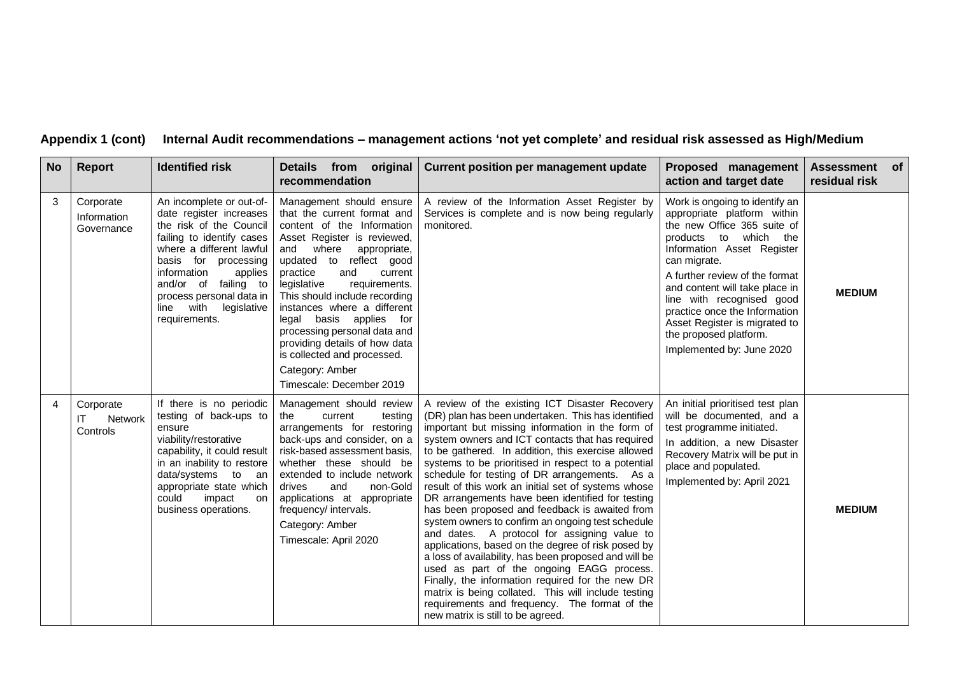### **Appendix 1 (cont) Internal Audit recommendations – management actions 'not yet complete' and residual risk assessed as High/Medium**

| <b>No</b> | Report                                        | <b>Identified risk</b>                                                                                                                                                                                                                                                                     | Details from original<br>recommendation                                                                                                                                                                                                                                                                                                                                                                                                                                           | Current position per management update                                                                                                                                                                                                                                                                                                                                                                                                                                                                                                                                                                                                                                                                                                                                                                                                                                                                                                                                                                    | Proposed management<br>action and target date                                                                                                                                                                                                                                                                                                                                                    | Assessment of<br>residual risk |
|-----------|-----------------------------------------------|--------------------------------------------------------------------------------------------------------------------------------------------------------------------------------------------------------------------------------------------------------------------------------------------|-----------------------------------------------------------------------------------------------------------------------------------------------------------------------------------------------------------------------------------------------------------------------------------------------------------------------------------------------------------------------------------------------------------------------------------------------------------------------------------|-----------------------------------------------------------------------------------------------------------------------------------------------------------------------------------------------------------------------------------------------------------------------------------------------------------------------------------------------------------------------------------------------------------------------------------------------------------------------------------------------------------------------------------------------------------------------------------------------------------------------------------------------------------------------------------------------------------------------------------------------------------------------------------------------------------------------------------------------------------------------------------------------------------------------------------------------------------------------------------------------------------|--------------------------------------------------------------------------------------------------------------------------------------------------------------------------------------------------------------------------------------------------------------------------------------------------------------------------------------------------------------------------------------------------|--------------------------------|
| 3         | Corporate<br>Information<br>Governance        | An incomplete or out-of-<br>date register increases<br>the risk of the Council<br>failing to identify cases<br>where a different lawful<br>basis for processing<br>information<br>applies<br>and/or of failing to<br>process personal data in<br>legislative<br>line with<br>requirements. | Management should ensure<br>that the current format and<br>content of the Information<br>Asset Register is reviewed,<br>and where appropriate,<br>updated to reflect good<br>practice<br>current<br>and<br>legislative<br>requirements.<br>This should include recording<br>instances where a different<br>legal basis applies for<br>processing personal data and<br>providing details of how data<br>is collected and processed.<br>Category: Amber<br>Timescale: December 2019 | A review of the Information Asset Register by<br>Services is complete and is now being regularly<br>monitored.                                                                                                                                                                                                                                                                                                                                                                                                                                                                                                                                                                                                                                                                                                                                                                                                                                                                                            | Work is ongoing to identify an<br>appropriate platform within<br>the new Office 365 suite of<br>to which the<br>products<br>Information Asset Register<br>can migrate.<br>A further review of the format<br>and content will take place in<br>line with recognised good<br>practice once the Information<br>Asset Register is migrated to<br>the proposed platform.<br>Implemented by: June 2020 | <b>MEDIUM</b>                  |
| 4         | Corporate<br>ΙT<br><b>Network</b><br>Controls | If there is no periodic<br>testing of back-ups to<br>ensure<br>viability/restorative<br>capability, it could result<br>in an inability to restore<br>data/systems to an<br>appropriate state which<br>could<br>impact<br>on<br>business operations.                                        | Management should review<br>the<br>current<br>testing<br>arrangements for restoring<br>back-ups and consider, on a<br>risk-based assessment basis,<br>whether these should be<br>extended to include network<br>and<br>non-Gold<br>drives<br>applications at appropriate<br>frequency/ intervals.<br>Category: Amber<br>Timescale: April 2020                                                                                                                                     | A review of the existing ICT Disaster Recovery<br>(DR) plan has been undertaken. This has identified<br>important but missing information in the form of<br>system owners and ICT contacts that has required<br>to be gathered. In addition, this exercise allowed<br>systems to be prioritised in respect to a potential<br>schedule for testing of DR arrangements. As a<br>result of this work an initial set of systems whose<br>DR arrangements have been identified for testing<br>has been proposed and feedback is awaited from<br>system owners to confirm an ongoing test schedule<br>and dates. A protocol for assigning value to<br>applications, based on the degree of risk posed by<br>a loss of availability, has been proposed and will be<br>used as part of the ongoing EAGG process.<br>Finally, the information required for the new DR<br>matrix is being collated. This will include testing<br>requirements and frequency. The format of the<br>new matrix is still to be agreed. | An initial prioritised test plan<br>will be documented, and a<br>test programme initiated.<br>In addition, a new Disaster<br>Recovery Matrix will be put in<br>place and populated.<br>Implemented by: April 2021                                                                                                                                                                                | <b>MEDIUM</b>                  |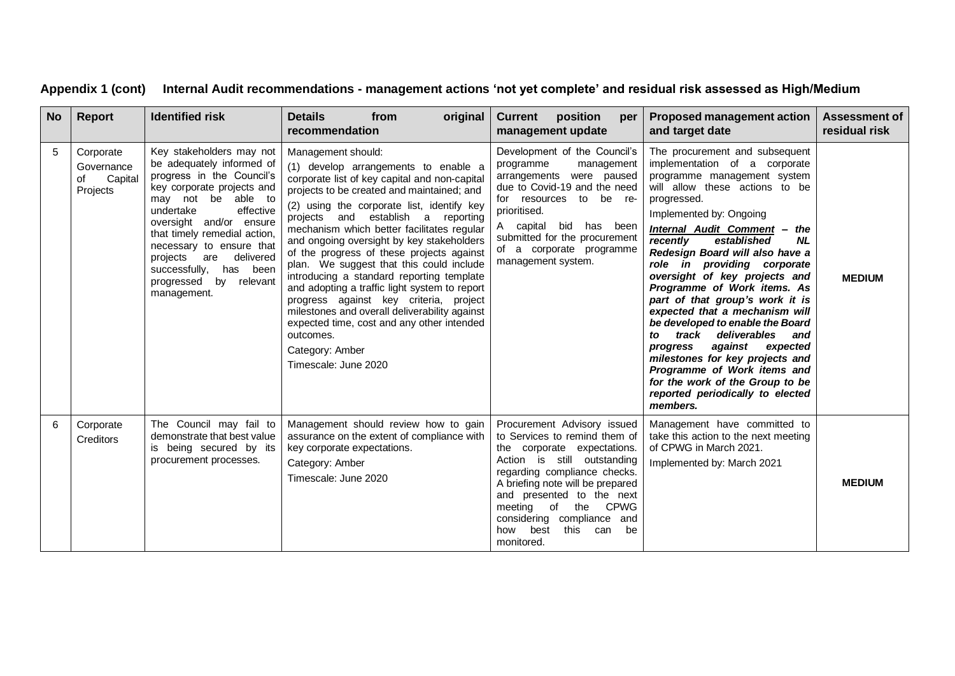| No. | <b>Report</b>                                        | <b>Identified risk</b>                                                                                                                                                                                                                                                                                                                                     | <b>Details</b><br>from<br>original<br>recommendation                                                                                                                                                                                                                                                                                                                                                                                                                                                                                                                                                                                                                                                                             | <b>Current</b><br>position<br>per  <br>management update                                                                                                                                                                                                                                                                                  | <b>Proposed management action</b><br>and target date                                                                                                                                                                                                                                                                                                                                                                                                                                                                                                                                                                                                                                                                         | <b>Assessment of</b><br>residual risk |
|-----|------------------------------------------------------|------------------------------------------------------------------------------------------------------------------------------------------------------------------------------------------------------------------------------------------------------------------------------------------------------------------------------------------------------------|----------------------------------------------------------------------------------------------------------------------------------------------------------------------------------------------------------------------------------------------------------------------------------------------------------------------------------------------------------------------------------------------------------------------------------------------------------------------------------------------------------------------------------------------------------------------------------------------------------------------------------------------------------------------------------------------------------------------------------|-------------------------------------------------------------------------------------------------------------------------------------------------------------------------------------------------------------------------------------------------------------------------------------------------------------------------------------------|------------------------------------------------------------------------------------------------------------------------------------------------------------------------------------------------------------------------------------------------------------------------------------------------------------------------------------------------------------------------------------------------------------------------------------------------------------------------------------------------------------------------------------------------------------------------------------------------------------------------------------------------------------------------------------------------------------------------------|---------------------------------------|
| 5   | Corporate<br>Governance<br>Capital<br>of<br>Projects | Key stakeholders may not<br>be adequately informed of<br>progress in the Council's<br>key corporate projects and<br>may not be able to<br>undertake<br>effective<br>oversight and/or ensure<br>that timely remedial action,<br>necessary to ensure that<br>delivered<br>projects are<br>successfully, has been<br>progressed<br>by relevant<br>management. | Management should:<br>(1) develop arrangements to enable a<br>corporate list of key capital and non-capital<br>projects to be created and maintained; and<br>(2) using the corporate list, identify key<br>projects and establish a reporting<br>mechanism which better facilitates regular<br>and ongoing oversight by key stakeholders<br>of the progress of these projects against<br>plan. We suggest that this could include<br>introducing a standard reporting template<br>and adopting a traffic light system to report<br>progress against key criteria, project<br>milestones and overall deliverability against<br>expected time, cost and any other intended<br>outcomes.<br>Category: Amber<br>Timescale: June 2020 | Development of the Council's<br>programme<br>management<br>arrangements were paused<br>due to Covid-19 and the need<br>for resources to be re-<br>prioritised.<br>A capital bid<br>has been<br>submitted for the procurement<br>of a corporate programme<br>management system.                                                            | The procurement and subsequent<br>implementation of a corporate<br>programme management system<br>will allow these actions to be<br>progressed.<br>Implemented by: Ongoing<br><b>Internal Audit Comment - the</b><br>recently<br>established<br><b>NL</b><br>Redesign Board will also have a<br>role in providing corporate<br>oversight of key projects and<br>Programme of Work items. As<br>part of that group's work it is<br>expected that a mechanism will<br>be developed to enable the Board<br>track deliverables<br>to<br>and<br>against expected<br>progress<br>milestones for key projects and<br>Programme of Work items and<br>for the work of the Group to be<br>reported periodically to elected<br>members. | <b>MEDIUM</b>                         |
| 6   | Corporate<br><b>Creditors</b>                        | The Council may fail to<br>demonstrate that best value<br>is being secured by its<br>procurement processes.                                                                                                                                                                                                                                                | Management should review how to gain<br>assurance on the extent of compliance with<br>key corporate expectations.<br>Category: Amber<br>Timescale: June 2020                                                                                                                                                                                                                                                                                                                                                                                                                                                                                                                                                                     | Procurement Advisory issued<br>to Services to remind them of<br>the corporate expectations.<br>Action is still outstanding<br>regarding compliance checks.<br>A briefing note will be prepared<br>and presented to the next<br>meeting of the<br><b>CPWG</b><br>considering compliance and<br>how best<br>this<br>can<br>be<br>monitored. | Management have committed to<br>take this action to the next meeting<br>of CPWG in March 2021.<br>Implemented by: March 2021                                                                                                                                                                                                                                                                                                                                                                                                                                                                                                                                                                                                 | <b>MEDIUM</b>                         |

# **Appendix 1 (cont) Internal Audit recommendations - management actions 'not yet complete' and residual risk assessed as High/Medium**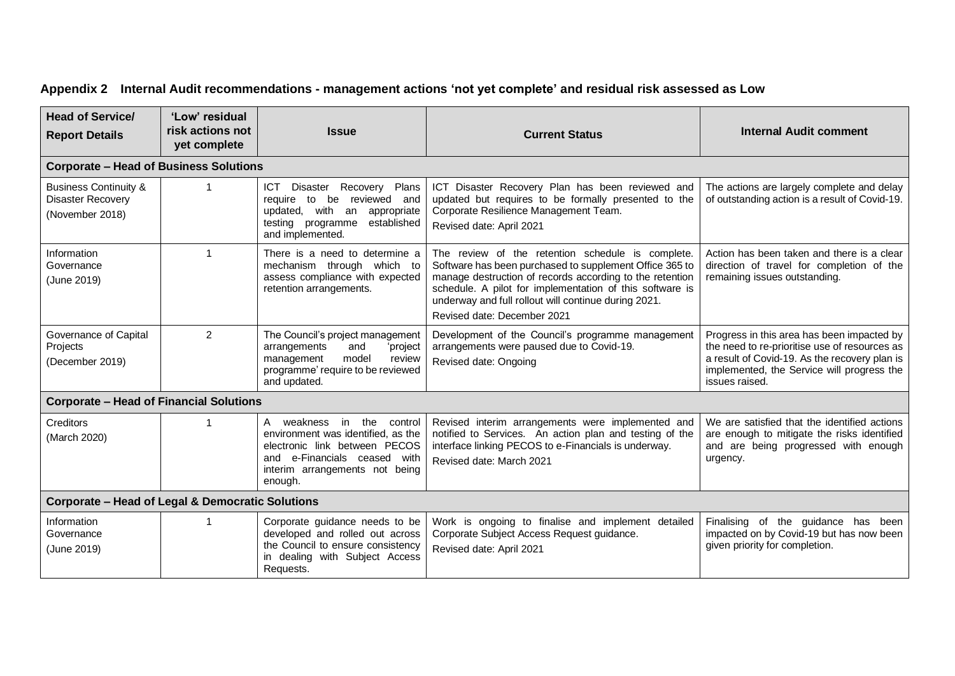| <b>Head of Service/</b><br><b>Report Details</b>                                | 'Low' residual<br>risk actions not<br>yet complete | <b>Issue</b>                                                                                                                                                                        | <b>Current Status</b>                                                                                                                                                                                                                                                                                                       | <b>Internal Audit comment</b>                                                                                                                                                                                |  |
|---------------------------------------------------------------------------------|----------------------------------------------------|-------------------------------------------------------------------------------------------------------------------------------------------------------------------------------------|-----------------------------------------------------------------------------------------------------------------------------------------------------------------------------------------------------------------------------------------------------------------------------------------------------------------------------|--------------------------------------------------------------------------------------------------------------------------------------------------------------------------------------------------------------|--|
| <b>Corporate - Head of Business Solutions</b>                                   |                                                    |                                                                                                                                                                                     |                                                                                                                                                                                                                                                                                                                             |                                                                                                                                                                                                              |  |
| <b>Business Continuity &amp;</b><br><b>Disaster Recovery</b><br>(November 2018) |                                                    | ICT Disaster Recovery Plans<br>reviewed and<br>require to<br>be<br>updated, with<br>an appropriate<br>established<br>testing programme<br>and implemented.                          | ICT Disaster Recovery Plan has been reviewed and<br>updated but requires to be formally presented to the<br>Corporate Resilience Management Team.<br>Revised date: April 2021                                                                                                                                               | The actions are largely complete and delay<br>of outstanding action is a result of Covid-19.                                                                                                                 |  |
| Information<br>Governance<br>(June 2019)                                        |                                                    | There is a need to determine a<br>mechanism through which to<br>assess compliance with expected<br>retention arrangements.                                                          | The review of the retention schedule is complete.<br>Software has been purchased to supplement Office 365 to<br>manage destruction of records according to the retention<br>schedule. A pilot for implementation of this software is<br>underway and full rollout will continue during 2021.<br>Revised date: December 2021 | Action has been taken and there is a clear<br>direction of travel for completion of the<br>remaining issues outstanding.                                                                                     |  |
| Governance of Capital<br>Projects<br>(December 2019)                            | $\overline{2}$                                     | The Council's project management<br>arrangements<br>and<br>'project<br>model<br>management<br>review<br>programme' require to be reviewed<br>and updated.                           | Development of the Council's programme management<br>arrangements were paused due to Covid-19.<br>Revised date: Ongoing                                                                                                                                                                                                     | Progress in this area has been impacted by<br>the need to re-prioritise use of resources as<br>a result of Covid-19. As the recovery plan is<br>implemented, the Service will progress the<br>issues raised. |  |
| <b>Corporate - Head of Financial Solutions</b>                                  |                                                    |                                                                                                                                                                                     |                                                                                                                                                                                                                                                                                                                             |                                                                                                                                                                                                              |  |
| <b>Creditors</b><br>(March 2020)                                                |                                                    | the<br>A weakness in<br>control<br>environment was identified, as the<br>electronic link between PECOS<br>and e-Financials ceased with<br>interim arrangements not being<br>enough. | Revised interim arrangements were implemented and<br>notified to Services. An action plan and testing of the<br>interface linking PECOS to e-Financials is underway.<br>Revised date: March 2021                                                                                                                            | We are satisfied that the identified actions<br>are enough to mitigate the risks identified<br>and are being progressed with enough<br>urgency.                                                              |  |
| Corporate – Head of Legal & Democratic Solutions                                |                                                    |                                                                                                                                                                                     |                                                                                                                                                                                                                                                                                                                             |                                                                                                                                                                                                              |  |
| Information<br>Governance<br>(June 2019)                                        | 1                                                  | Corporate guidance needs to be<br>developed and rolled out across<br>the Council to ensure consistency<br>in dealing with Subject Access<br>Requests.                               | Work is ongoing to finalise and implement detailed<br>Corporate Subject Access Request guidance.<br>Revised date: April 2021                                                                                                                                                                                                | Finalising of the guidance has been<br>impacted on by Covid-19 but has now been<br>given priority for completion.                                                                                            |  |

# **Appendix 2 Internal Audit recommendations - management actions 'not yet complete' and residual risk assessed as Low**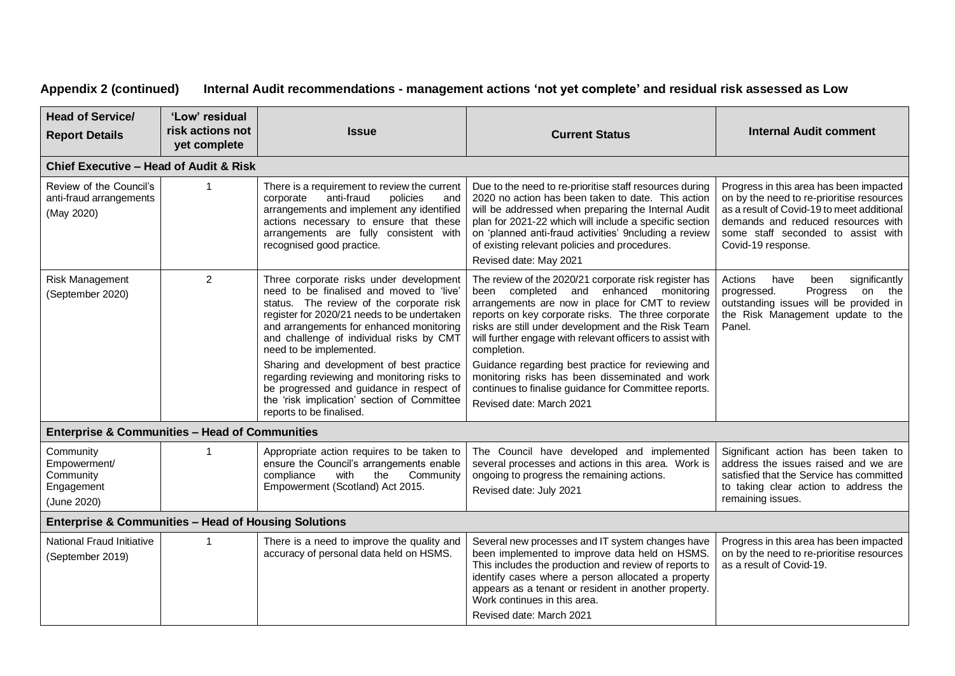### **Appendix 2 (continued) Internal Audit recommendations - management actions 'not yet complete' and residual risk assessed as Low**

| <b>Head of Service/</b><br><b>Report Details</b>                    | 'Low' residual<br>risk actions not<br><b>Issue</b><br><b>Current Status</b><br>yet complete |                                                                                                                                                                                                                                                                                                   | <b>Internal Audit comment</b>                                                                                                                                                                                                                                                                                                                                      |                                                                                                                                                                                                                                      |
|---------------------------------------------------------------------|---------------------------------------------------------------------------------------------|---------------------------------------------------------------------------------------------------------------------------------------------------------------------------------------------------------------------------------------------------------------------------------------------------|--------------------------------------------------------------------------------------------------------------------------------------------------------------------------------------------------------------------------------------------------------------------------------------------------------------------------------------------------------------------|--------------------------------------------------------------------------------------------------------------------------------------------------------------------------------------------------------------------------------------|
| Chief Executive - Head of Audit & Risk                              |                                                                                             |                                                                                                                                                                                                                                                                                                   |                                                                                                                                                                                                                                                                                                                                                                    |                                                                                                                                                                                                                                      |
| Review of the Council's<br>anti-fraud arrangements<br>(May 2020)    | $\mathbf 1$                                                                                 | There is a requirement to review the current<br>anti-fraud<br>policies<br>corporate<br>and<br>arrangements and implement any identified<br>actions necessary to ensure that these<br>arrangements are fully consistent with<br>recognised good practice.                                          | Due to the need to re-prioritise staff resources during<br>2020 no action has been taken to date. This action<br>will be addressed when preparing the Internal Audit<br>plan for 2021-22 which will include a specific section<br>on 'planned anti-fraud activities' 9ncluding a review<br>of existing relevant policies and procedures.<br>Revised date: May 2021 | Progress in this area has been impacted<br>on by the need to re-prioritise resources<br>as a result of Covid-19 to meet additional<br>demands and reduced resources with<br>some staff seconded to assist with<br>Covid-19 response. |
| Risk Management<br>(September 2020)                                 | 2                                                                                           | Three corporate risks under development<br>need to be finalised and moved to 'live'<br>status. The review of the corporate risk<br>register for 2020/21 needs to be undertaken<br>and arrangements for enhanced monitoring<br>and challenge of individual risks by CMT<br>need to be implemented. | The review of the 2020/21 corporate risk register has<br>been completed and enhanced monitoring<br>arrangements are now in place for CMT to review<br>reports on key corporate risks. The three corporate<br>risks are still under development and the Risk Team<br>will further engage with relevant officers to assist with<br>completion.                       | significantly<br>Actions<br>have<br>been<br>on the<br>progressed.<br>Progress<br>outstanding issues will be provided in<br>the Risk Management update to the<br>Panel.                                                               |
|                                                                     |                                                                                             | Sharing and development of best practice<br>regarding reviewing and monitoring risks to<br>be progressed and guidance in respect of<br>the 'risk implication' section of Committee<br>reports to be finalised.                                                                                    | Guidance regarding best practice for reviewing and<br>monitoring risks has been disseminated and work<br>continues to finalise guidance for Committee reports.<br>Revised date: March 2021                                                                                                                                                                         |                                                                                                                                                                                                                                      |
| <b>Enterprise &amp; Communities - Head of Communities</b>           |                                                                                             |                                                                                                                                                                                                                                                                                                   |                                                                                                                                                                                                                                                                                                                                                                    |                                                                                                                                                                                                                                      |
| Community<br>Empowerment/<br>Community<br>Engagement<br>(June 2020) | $\mathbf 1$                                                                                 | Appropriate action requires to be taken to<br>ensure the Council's arrangements enable<br>compliance<br>with<br>the<br>Community<br>Empowerment (Scotland) Act 2015.                                                                                                                              | The Council have developed and implemented<br>several processes and actions in this area. Work is<br>ongoing to progress the remaining actions.<br>Revised date: July 2021                                                                                                                                                                                         | Significant action has been taken to<br>address the issues raised and we are<br>satisfied that the Service has committed<br>to taking clear action to address the<br>remaining issues.                                               |
| <b>Enterprise &amp; Communities - Head of Housing Solutions</b>     |                                                                                             |                                                                                                                                                                                                                                                                                                   |                                                                                                                                                                                                                                                                                                                                                                    |                                                                                                                                                                                                                                      |
| National Fraud Initiative<br>(September 2019)                       | $\mathbf{1}$                                                                                | There is a need to improve the quality and<br>accuracy of personal data held on HSMS.                                                                                                                                                                                                             | Several new processes and IT system changes have<br>been implemented to improve data held on HSMS.<br>This includes the production and review of reports to<br>identify cases where a person allocated a property<br>appears as a tenant or resident in another property.<br>Work continues in this area.<br>Revised date: March 2021                              | Progress in this area has been impacted<br>on by the need to re-prioritise resources<br>as a result of Covid-19.                                                                                                                     |